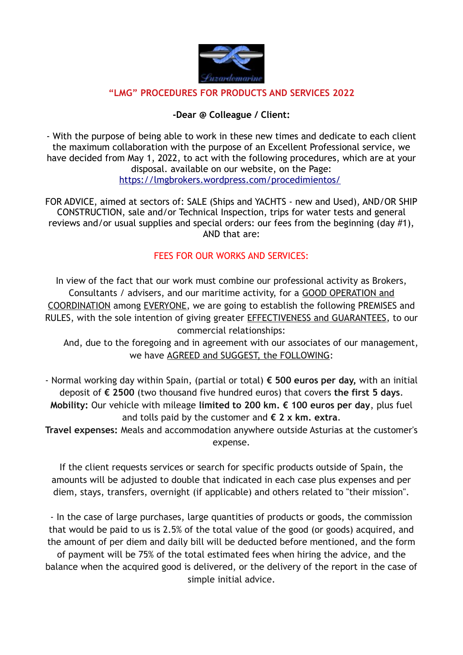

## **"LMG" PROCEDURES FOR PRODUCTS AND SERVICES 2022**

## **-Dear @ Colleague / Client:**

- With the purpose of being able to work in these new times and dedicate to each client the maximum collaboration with the purpose of an Excellent Professional service, we have decided from May 1, 2022, to act with the following procedures, which are at your disposal. available on our website, on the Page: <https://lmgbrokers.wordpress.com/procedimientos/>

FOR ADVICE, aimed at sectors of: SALE (Ships and YACHTS - new and Used), AND/OR SHIP CONSTRUCTION, sale and/or Technical Inspection, trips for water tests and general reviews and/or usual supplies and special orders: our fees from the beginning (day #1), AND that are:

## FEES FOR OUR WORKS AND SERVICES:

In view of the fact that our work must combine our professional activity as Brokers, Consultants / advisers, and our maritime activity, for a GOOD OPERATION and COORDINATION among EVERYONE, we are going to establish the following PREMISES and RULES, with the sole intention of giving greater EFFECTIVENESS and GUARANTEES, to our commercial relationships:

 And, due to the foregoing and in agreement with our associates of our management, we have AGREED and SUGGEST, the FOLLOWING:

- Normal working day within Spain, (partial or total) **€ 500 euros per day,** with an initial deposit of **€ 2500** (two thousand five hundred euros) that covers **the first 5 days**. **Mobility:** Our vehicle with mileage **limited to 200 km. € 100 euros per day**, plus fuel and tolls paid by the customer and **€ 2 x km. extra**.

**Travel expenses:** Meals and accommodation anywhere outside Asturias at the customer's expense.

If the client requests services or search for specific products outside of Spain, the amounts will be adjusted to double that indicated in each case plus expenses and per diem, stays, transfers, overnight (if applicable) and others related to "their mission".

- In the case of large purchases, large quantities of products or goods, the commission that would be paid to us is 2.5% of the total value of the good (or goods) acquired, and the amount of per diem and daily bill will be deducted before mentioned, and the form of payment will be 75% of the total estimated fees when hiring the advice, and the balance when the acquired good is delivered, or the delivery of the report in the case of simple initial advice.